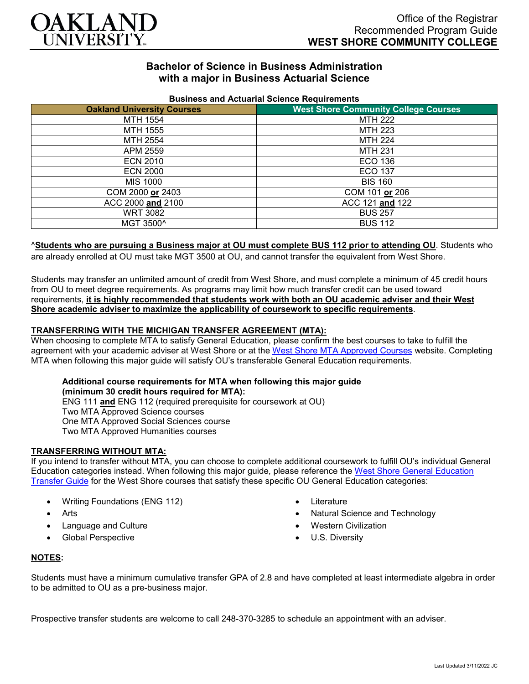

## **Bachelor of Science in Business Administration with a major in Business Actuarial Science**

| <b>Pasiness and Actuanal Ocionce Regulients.</b> |                                             |
|--------------------------------------------------|---------------------------------------------|
| <b>Oakland University Courses</b>                | <b>West Shore Community College Courses</b> |
| MTH 1554                                         | MTH 222                                     |
| MTH 1555                                         | MTH 223                                     |
| MTH 2554                                         | MTH 224                                     |
| APM 2559                                         | <b>MTH 231</b>                              |
| <b>ECN 2010</b>                                  | ECO 136                                     |
| <b>ECN 2000</b>                                  | ECO 137                                     |
| MIS 1000                                         | <b>BIS 160</b>                              |
| COM 2000 or 2403                                 | COM 101 or 206                              |
| ACC 2000 and 2100                                | ACC 121 and 122                             |
| <b>WRT 3082</b>                                  | <b>BUS 257</b>                              |
| MGT 3500^                                        | <b>BUS 112</b>                              |

#### **Business and Actuarial Science Requirements**

### ^**Students who are pursuing a Business major at OU must complete BUS 112 prior to attending OU**. Students who

are already enrolled at OU must take MGT 3500 at OU, and cannot transfer the equivalent from West Shore.

Students may transfer an unlimited amount of credit from West Shore, and must complete a minimum of 45 credit hours from OU to meet degree requirements. As programs may limit how much transfer credit can be used toward requirements, **it is highly recommended that students work with both an OU academic adviser and their West Shore academic adviser to maximize the applicability of coursework to specific requirements**.

### **TRANSFERRING WITH THE MICHIGAN TRANSFER AGREEMENT (MTA):**

When choosing to complete MTA to satisfy General Education, please confirm the best courses to take to fulfill the agreement with your academic adviser at West Shore or at the [West Shore MTA Approved Courses](https://www.westshore.edu/admissions/transfer-students/) website. Completing MTA when following this major guide will satisfy OU's transferable General Education requirements.

# **Additional course requirements for MTA when following this major guide**

**(minimum 30 credit hours required for MTA):** ENG 111 **and** ENG 112 (required prerequisite for coursework at OU) Two MTA Approved Science courses One MTA Approved Social Sciences course Two MTA Approved Humanities courses

### **TRANSFERRING WITHOUT MTA:**

If you intend to transfer without MTA, you can choose to complete additional coursework to fulfill OU's individual General Education categories instead. When following this major guide, please reference the [West Shore General Education](https://www.oakland.edu/Assets/Oakland/program-guides/west-shore-community-college/university-general-education-requirements/West%20Shore%20Gen%20Ed.pdf)  [Transfer Guide](https://www.oakland.edu/Assets/Oakland/program-guides/west-shore-community-college/university-general-education-requirements/West%20Shore%20Gen%20Ed.pdf) for the West Shore courses that satisfy these specific OU General Education categories:

- Writing Foundations (ENG 112)
- **Arts**
- Language and Culture
- Global Perspective
- Literature
- Natural Science and Technology
- Western Civilization
- U.S. Diversity

### **NOTES:**

Students must have a minimum cumulative transfer GPA of 2.8 and have completed at least intermediate algebra in order to be admitted to OU as a pre-business major.

Prospective transfer students are welcome to call 248-370-3285 to schedule an appointment with an adviser.